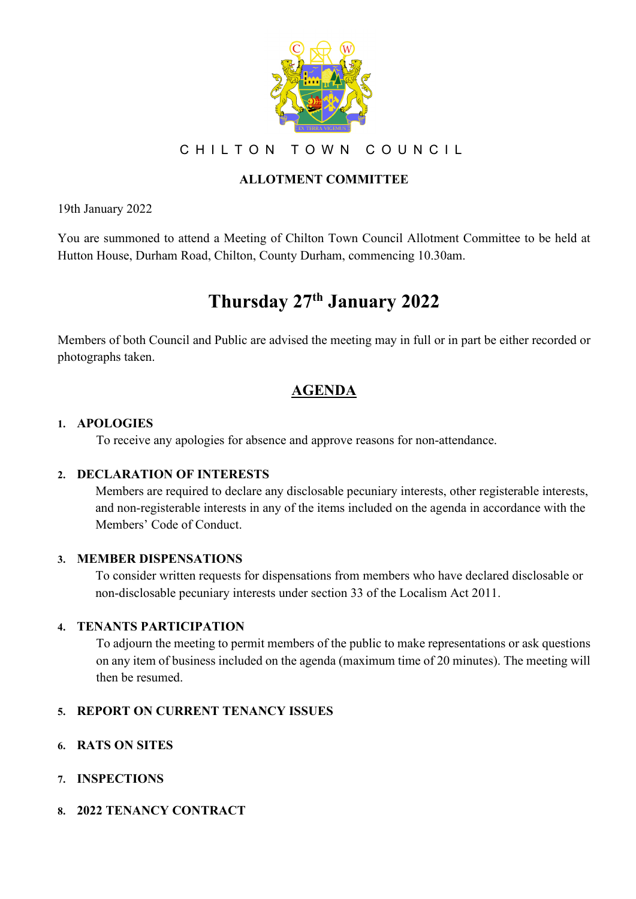

CHILTON TOWN COUNCIL

## **ALLOTMENT COMMITTEE**

19th January 2022

You are summoned to attend a Meeting of Chilton Town Council Allotment Committee to be held at Hutton House, Durham Road, Chilton, County Durham, commencing 10.30am.

# **Thursday 27th January 2022**

Members of both Council and Public are advised the meeting may in full or in part be either recorded or photographs taken.

## **AGENDA**

#### **1. APOLOGIES**

To receive any apologies for absence and approve reasons for non-attendance.

## **2. DECLARATION OF INTERESTS**

Members are required to declare any disclosable pecuniary interests, other registerable interests, and non-registerable interests in any of the items included on the agenda in accordance with the Members' Code of Conduct.

#### **3. MEMBER DISPENSATIONS**

To consider written requests for dispensations from members who have declared disclosable or non-disclosable pecuniary interests under section 33 of the Localism Act 2011.

## **4. TENANTS PARTICIPATION**

To adjourn the meeting to permit members of the public to make representations or ask questions on any item of business included on the agenda (maximum time of 20 minutes). The meeting will then be resumed.

#### **5. REPORT ON CURRENT TENANCY ISSUES**

- **6. RATS ON SITES**
- **7. INSPECTIONS**

#### **8. 2022 TENANCY CONTRACT**